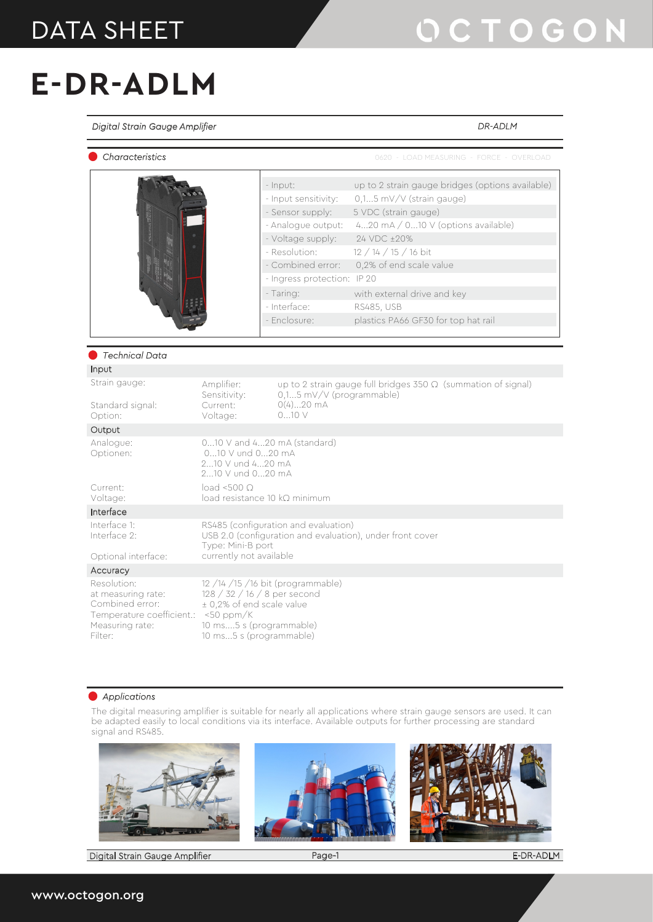#### DATA SHEET

# OCTOGON

*DR-ADLM*

## **E-DR-ADLM**

*Digital Strain Gauge Amplifier*

| Characteristics                                                                                                 |                                                                                                 |                                                                                                                                                                                                                   | 0620 - LOAD MEASURING - FORCE - OVERLOAD                                                                                                                                                                                                                                                             |
|-----------------------------------------------------------------------------------------------------------------|-------------------------------------------------------------------------------------------------|-------------------------------------------------------------------------------------------------------------------------------------------------------------------------------------------------------------------|------------------------------------------------------------------------------------------------------------------------------------------------------------------------------------------------------------------------------------------------------------------------------------------------------|
|                                                                                                                 |                                                                                                 | - Input:<br>- Input sensitivity:<br>- Sensor supply:<br>- Analogue output:<br>- Voltage supply:<br>- Resolution:<br>- Combined error:<br>- Ingress protection: IP 20<br>- Taring:<br>- Interface:<br>- Enclosure: | up to 2 strain gauge bridges (options available)<br>0,15 mV/V (strain gauge)<br>5 VDC (strain gauge)<br>420 $mA / 0$ 10 V (options available)<br>24 VDC ±20%<br>12 / 14 / 15 / 16 bit<br>0,2% of end scale value<br>with external drive and key<br>RS485, USB<br>plastics PA66 GF30 for top hat rail |
| Technical Data                                                                                                  |                                                                                                 |                                                                                                                                                                                                                   |                                                                                                                                                                                                                                                                                                      |
| Input                                                                                                           |                                                                                                 |                                                                                                                                                                                                                   |                                                                                                                                                                                                                                                                                                      |
| Strain gauge:<br>Standard signal:<br>Option:                                                                    | Amplifier:<br>Sensitivity:<br>Current:<br>Voltage:                                              | 0,15 mV/V (programmable)<br>$0(4)20$ mA<br>010V                                                                                                                                                                   | up to 2 strain gauge full bridges $350 \Omega$ (summation of signal)                                                                                                                                                                                                                                 |
| Output                                                                                                          |                                                                                                 |                                                                                                                                                                                                                   |                                                                                                                                                                                                                                                                                                      |
| Analogue:<br>Optionen:<br>Current:                                                                              | 010 V und 020 mA<br>210 V und 420 mA<br>210 V und 020 mA<br>$load < 500$ O                      | 010 V and 420 mA (standard)                                                                                                                                                                                       |                                                                                                                                                                                                                                                                                                      |
| Voltage:                                                                                                        |                                                                                                 | $load$ resistance 10 $k\Omega$ minimum                                                                                                                                                                            |                                                                                                                                                                                                                                                                                                      |
| Interface                                                                                                       |                                                                                                 |                                                                                                                                                                                                                   |                                                                                                                                                                                                                                                                                                      |
| Interface 1:<br>Interface 2:<br>Optional interface:                                                             | Type: Mini-B port<br>currently not available                                                    | RS485 (configuration and evaluation)<br>USB 2.0 (configuration and evaluation), under front cover                                                                                                                 |                                                                                                                                                                                                                                                                                                      |
| Accuracy                                                                                                        |                                                                                                 |                                                                                                                                                                                                                   |                                                                                                                                                                                                                                                                                                      |
| Resolution:<br>at measuring rate:<br>Combined error:<br>Temperature coefficient.:<br>Measuring rate:<br>Filter: | ± 0,2% of end scale value<br>$<$ 50 ppm/K<br>10 ms5 s (programmable)<br>10 ms5 s (programmable) | $12/14/15/16$ bit (programmable)<br>128 / 32 / 16 / 8 per second                                                                                                                                                  |                                                                                                                                                                                                                                                                                                      |

#### *Applications*

The digital measuring amplifier is suitable for nearly all applications where strain gauge sensors are used. It can be adapted easily to local conditions via its interface. Available outputs for further processing are standard signal and RS485.



Digital Strain Gauge Amplifier Page-1

E-DR-ADLM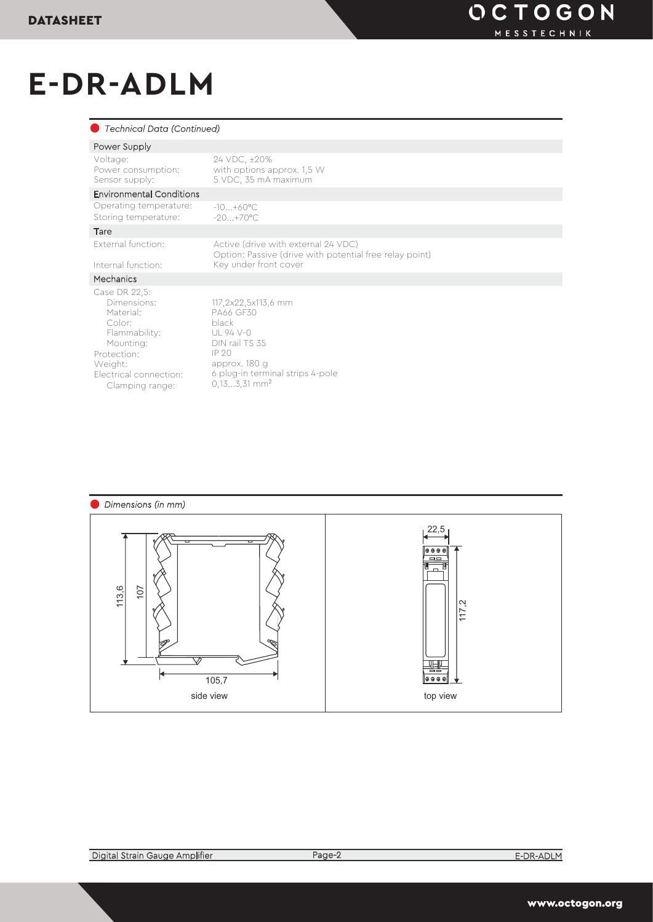## **E-DR-ADLM**

| Technical Data (Continued)                                                                                                                              |                                                                                                                                                                     |
|---------------------------------------------------------------------------------------------------------------------------------------------------------|---------------------------------------------------------------------------------------------------------------------------------------------------------------------|
| Power Supply                                                                                                                                            |                                                                                                                                                                     |
| Voltage:<br>Power consumption:<br>Sensor supply:                                                                                                        | 24 VDC, ±20%<br>with options approx. 1,5 W<br>5 VDC, 35 mA maximum                                                                                                  |
| <b>Environmental Conditions</b>                                                                                                                         |                                                                                                                                                                     |
| Operating temperature:<br>Storing temperature:                                                                                                          | $-10 + 60^{\circ}$ C<br>$-20.1 + 70^{\circ}$ C                                                                                                                      |
| Tare                                                                                                                                                    |                                                                                                                                                                     |
| External function:<br>Internal function:                                                                                                                | Active (drive with external 24 VDC)<br>Option: Passive (drive with potential free relay point)<br>Key under front cover                                             |
| Mechanics                                                                                                                                               |                                                                                                                                                                     |
| Case DR 22.5:<br>Dimensions:<br>Material:<br>Color<br>Flammability:<br>Mounting:<br>Protection:<br>Weight:<br>Electrical connection:<br>Clamping range: | 117,2x22,5x113,6 mm<br>PA66 GF30<br>black<br>$U194V-0$<br>DIN rail TS 35<br>IP20<br>approx. 180 g<br>6 plug-in terminal strips 4-pole<br>$0.133.31$ mm <sup>2</sup> |

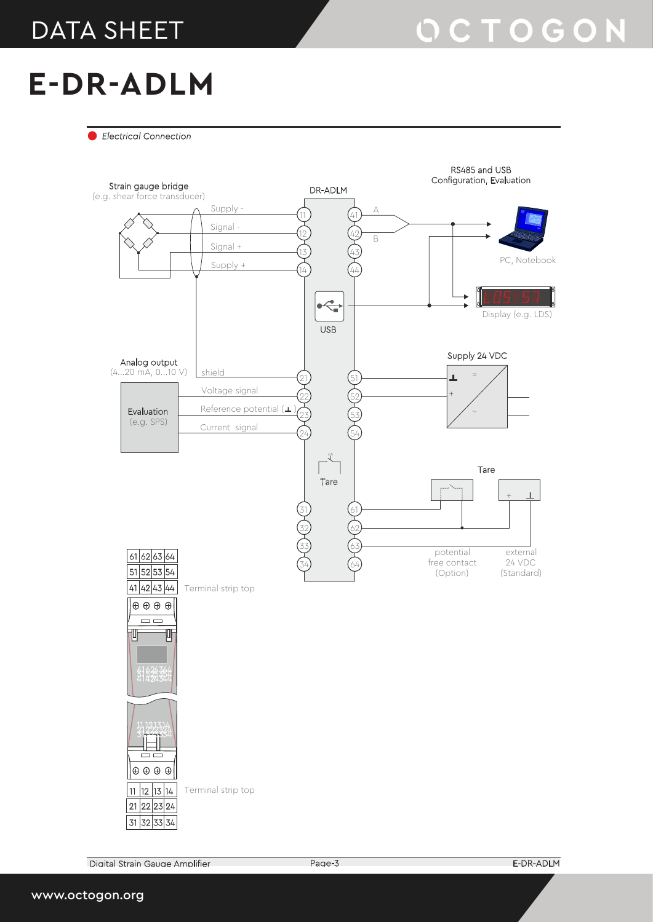#### DATA SHEET

#### **E-DR-ADLM**

*Electrical Connection*